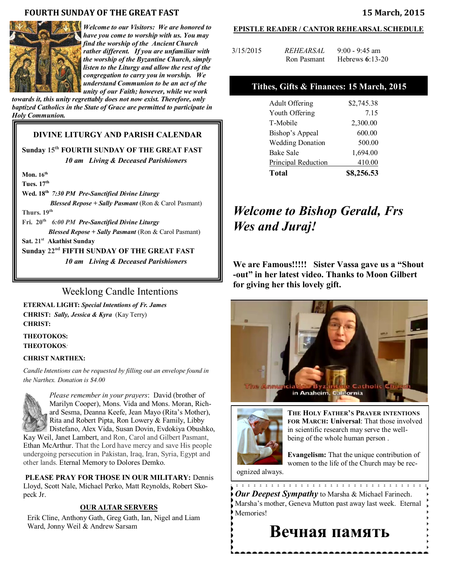#### **FOURTH SUNDAY OF THE GREAT FAST 15 March, 2015**



*Welcome to our Visitors: We are honored to have you come to worship with us. You may find the worship of the Ancient Church rather different. If you are unfamiliar with the worship of the Byzantine Church, simply listen to the Liturgy and allow the rest of the congregation to carry you in worship. We understand Communion to be an act of the unity of our Faith; however, while we work* 

*towards it, this unity regrettably does not now exist. Therefore, only baptized Catholics in the State of Grace are permitted to participate in Holy Communion.*

## **DIVINE LITURGY AND PARISH CALENDAR**

## **Sunday 15th FOURTH SUNDAY OF THE GREAT FAST** *10 am Living & Deceased Parishioners*

**Mon. 16th** 

**Tues. 17th Wed. 18th** *7:30 PM Pre-Sanctified Divine Liturgy Blessed Repose + Sally Pasmant* (Ron & Carol Pasmant) **Thurs. 19th Fri. 20th** *6:00 PM Pre-Sanctified Divine Liturgy Blessed Repose + Sally Pasmant* (Ron & Carol Pasmant) **Sat. 21st Akathist Sunday Sunday 22nd FIFTH SUNDAY OF THE GREAT FAST** *10 am Living & Deceased Parishioners* 

# Weeklong Candle Intentions

**ETERNAL LIGHT:** *Special Intentions of Fr. James*  **CHRIST:** *Sally, Jessica & Kyra* (Kay Terry) **CHRIST:** 

#### **THEOTOKOS: THEOTOKOS***:*

#### **CHRIST NARTHEX:**

*Candle Intentions can be requested by filling out an envelope found in the Narthex. Donation is \$4.00*



*Please remember in your prayers*: David (brother of Marilyn Cooper), Mons. Vida and Mons. Moran, Richard Sesma, Deanna Keefe, Jean Mayo (Rita's Mother), Rita and Robert Pipta, Ron Lowery & Family, Libby Distefano, Alex Vida, Susan Dovin, Evdokiya Obushko,

Kay Weil, Janet Lambert, and Ron, Carol and Gilbert Pasmant, Ethan McArthur. That the Lord have mercy and save His people undergoing persecution in Pakistan, Iraq, Iran, Syria, Egypt and other lands. Eternal Memory to Dolores Demko.

**PLEASE PRAY FOR THOSE IN OUR MILITARY:** Dennis Lloyd, Scott Nale, Michael Perko, Matt Reynolds, Robert Skopeck Jr.

#### **OUR ALTAR SERVERS**

Erik Cline, Anthony Gath, Greg Gath, Ian, Nigel and Liam Ward, Jonny Weil & Andrew Sarsam

#### **EPISTLE READER / CANTOR REHEARSAL SCHEDULE**

| 3/15/2015 | <i>REHEARSAL</i> | $9:00 - 9:45$ am  |
|-----------|------------------|-------------------|
|           | Ron Pasmant      | Hebrews $6:13-20$ |

#### **Tithes, Gifts & Finances: 15 March, 2015**

| <b>Adult Offering</b>   | \$2,745.38 |
|-------------------------|------------|
| Youth Offering          | 7.15       |
| T-Mobile                | 2,300.00   |
| Bishop's Appeal         | 600.00     |
| <b>Wedding Donation</b> | 500.00     |
| <b>Bake Sale</b>        | 1,694.00   |
| Principal Reduction     | 410.00     |
| <b>Total</b>            | \$8,256.53 |

# *Welcome to Bishop Gerald, Frs Wes and Juraj!*

**We are Famous!!!!! Sister Vassa gave us a "Shout -out" in her latest video. Thanks to Moon Gilbert for giving her this lovely gift.** 





**THE HOLY FATHER'S PRAYER INTENTIONS FOR MARCH: Universal**: That those involved in scientific research may serve the wellbeing of the whole human person .

**Evangelism:** That the unique contribution of women to the life of the Church may be rec-

ognized always.

\*\*\*\*\*\*\*\*\*\*\*\*\*\*\*\*\*\*\*\*\*\*\*\*\*\*\*\*\*\*\*\*\* *Our Deepest Sympathy* to Marsha & Michael Farinech. Marsha's mother, Geneva Mutton past away last week. Eternal Memories!

# **Вечная память**